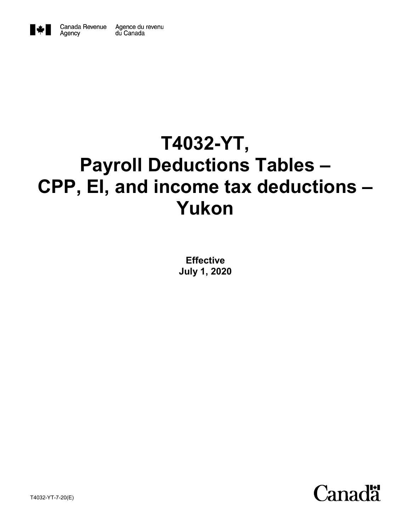

Agency

# **T4032-YT, Payroll Deductions Tables – CPP, EI, and income tax deductions – Yukon**

**Effective July 1, 2020**

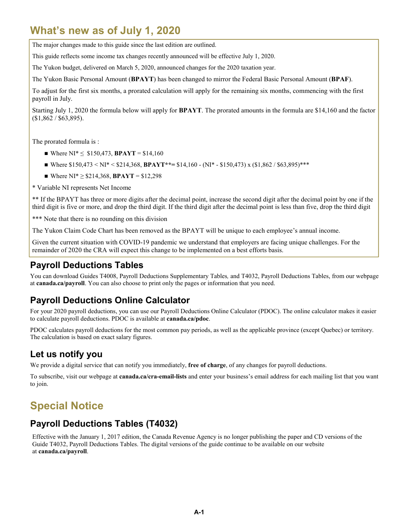# **What's new as of July 1, 2020**

The major changes made to this guide since the last edition are outlined.

This guide reflects some income tax changes recently announced will be effective July 1, 2020.

The Yukon budget, delivered on March 5, 2020, announced changes for the 2020 taxation year.

The Yukon Basic Personal Amount (**BPAYT**) has been changed to mirror the Federal Basic Personal Amount (**BPAF**).

To adjust for the first six months, a prorated calculation will apply for the remaining six months, commencing with the first payroll in July.

Starting July 1, 2020 the formula below will apply for **BPAYT**. The prorated amounts in the formula are \$14,160 and the factor (\$1,862 / \$63,895).

The prorated formula is :

- Where  $NI^* \leq 150,473$ , **BPAYT** = \$14,160
- Where  $$150,473 \times N1^* \le $214,368$ , **BPAYT**\*\*=  $$14,160$  (NI<sup>\*</sup>  $$150,473$ ) x ( $$1,862 / $63,895$ )\*\*\*
- Where  $NI^* \geq $214,368$ , **BPAYT** = \$12,298

\* Variable NI represents Net Income

\*\* If the BPAYT has three or more digits after the decimal point, increase the second digit after the decimal point by one if the third digit is five or more, and drop the third digit. If the third digit after the decimal point is less than five, drop the third digit

\*\*\* Note that there is no rounding on this division

The Yukon Claim Code Chart has been removed as the BPAYT will be unique to each employee's annual income.

Given the current situation with COVID-19 pandemic we understand that employers are facing unique challenges. For the remainder of 2020 the CRA will expect this change to be implemented on a best efforts basis.

### **Payroll Deductions Tables**

You can download Guides T4008, Payroll Deductions Supplementary Tables*,* and T4032, Payroll Deductions Tables, from our webpage at **canada.ca/payroll**. You can also choose to print only the pages or information that you need.

### **Payroll Deductions Online Calculator**

For your 2020 payroll deductions, you can use our Payroll Deductions Online Calculator (PDOC). The online calculator makes it easier to calculate payroll deductions. PDOC is available at **canada.ca/pdoc**.

PDOC calculates payroll deductions for the most common pay periods, as well as the applicable province (except Quebec) or territory. The calculation is based on exact salary figures.

### **Let us notify you**

We provide a digital service that can notify you immediately, **free of charge**, of any changes for payroll deductions.

To subscribe, visit our webpage at **canada.ca/cra-email-lists** and enter your business's email address for each mailing list that you want to join.

# **Special Notice**

### **Payroll Deductions Tables (T4032)**

Effective with the January 1, 2017 edition, the Canada Revenue Agency is no longer publishing the paper and CD versions of the Guide T4032, Payroll Deductions Tables. The digital versions of the guide continue to be available on our website at **canada.ca/payroll**.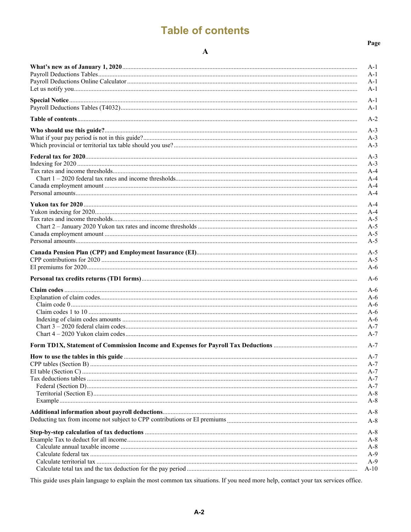# **Table of contents**

#### $\mathbf{A}$

| $A-1$<br>$A-1$<br>$A-1$<br>$A-1$<br>$A-1$<br>$A-2$<br>$A-3$<br>$A-3$<br>$A-3$<br>$A-3$<br>$A-3$<br>$A-4$<br>$A-4$<br>$A-4$<br>$A-4$<br>$A-4$<br>$A-4$<br>$A-5$<br>$A-5$<br>$A-5$<br>$A-5$<br>$A-5$<br>$A-5$<br>$A-6$<br>$A-6$<br>$A-6$<br>$A-6$<br>$A-6$<br>$A-6$<br>$A-6$<br>$A-7$<br>$A-7$<br>$A-7$<br>$A-7$<br>A-7<br>A-7<br>A-7<br>$A-7$<br>$A-8$<br>$A-8$<br>$A-8$<br>$A-8$<br>$A-8$<br>$A-8$<br>$A-8$<br>$A-9$<br>$A-9$<br>$A-10$ |       |
|-----------------------------------------------------------------------------------------------------------------------------------------------------------------------------------------------------------------------------------------------------------------------------------------------------------------------------------------------------------------------------------------------------------------------------------------|-------|
|                                                                                                                                                                                                                                                                                                                                                                                                                                         | $A-1$ |
|                                                                                                                                                                                                                                                                                                                                                                                                                                         |       |
|                                                                                                                                                                                                                                                                                                                                                                                                                                         |       |
|                                                                                                                                                                                                                                                                                                                                                                                                                                         |       |
|                                                                                                                                                                                                                                                                                                                                                                                                                                         |       |
|                                                                                                                                                                                                                                                                                                                                                                                                                                         |       |
|                                                                                                                                                                                                                                                                                                                                                                                                                                         |       |
|                                                                                                                                                                                                                                                                                                                                                                                                                                         |       |
|                                                                                                                                                                                                                                                                                                                                                                                                                                         |       |
|                                                                                                                                                                                                                                                                                                                                                                                                                                         |       |
|                                                                                                                                                                                                                                                                                                                                                                                                                                         |       |
|                                                                                                                                                                                                                                                                                                                                                                                                                                         |       |
|                                                                                                                                                                                                                                                                                                                                                                                                                                         |       |
|                                                                                                                                                                                                                                                                                                                                                                                                                                         |       |
|                                                                                                                                                                                                                                                                                                                                                                                                                                         |       |
|                                                                                                                                                                                                                                                                                                                                                                                                                                         |       |
|                                                                                                                                                                                                                                                                                                                                                                                                                                         |       |
|                                                                                                                                                                                                                                                                                                                                                                                                                                         |       |
|                                                                                                                                                                                                                                                                                                                                                                                                                                         |       |
|                                                                                                                                                                                                                                                                                                                                                                                                                                         |       |
|                                                                                                                                                                                                                                                                                                                                                                                                                                         |       |
|                                                                                                                                                                                                                                                                                                                                                                                                                                         |       |
|                                                                                                                                                                                                                                                                                                                                                                                                                                         |       |
|                                                                                                                                                                                                                                                                                                                                                                                                                                         |       |
|                                                                                                                                                                                                                                                                                                                                                                                                                                         |       |
|                                                                                                                                                                                                                                                                                                                                                                                                                                         |       |
|                                                                                                                                                                                                                                                                                                                                                                                                                                         |       |
|                                                                                                                                                                                                                                                                                                                                                                                                                                         |       |
|                                                                                                                                                                                                                                                                                                                                                                                                                                         |       |
|                                                                                                                                                                                                                                                                                                                                                                                                                                         |       |
|                                                                                                                                                                                                                                                                                                                                                                                                                                         |       |
|                                                                                                                                                                                                                                                                                                                                                                                                                                         |       |
|                                                                                                                                                                                                                                                                                                                                                                                                                                         |       |
|                                                                                                                                                                                                                                                                                                                                                                                                                                         |       |
|                                                                                                                                                                                                                                                                                                                                                                                                                                         |       |
|                                                                                                                                                                                                                                                                                                                                                                                                                                         |       |
|                                                                                                                                                                                                                                                                                                                                                                                                                                         |       |
|                                                                                                                                                                                                                                                                                                                                                                                                                                         |       |
|                                                                                                                                                                                                                                                                                                                                                                                                                                         |       |
|                                                                                                                                                                                                                                                                                                                                                                                                                                         |       |
|                                                                                                                                                                                                                                                                                                                                                                                                                                         |       |
|                                                                                                                                                                                                                                                                                                                                                                                                                                         |       |
|                                                                                                                                                                                                                                                                                                                                                                                                                                         |       |
|                                                                                                                                                                                                                                                                                                                                                                                                                                         |       |
|                                                                                                                                                                                                                                                                                                                                                                                                                                         |       |
|                                                                                                                                                                                                                                                                                                                                                                                                                                         |       |
|                                                                                                                                                                                                                                                                                                                                                                                                                                         |       |
|                                                                                                                                                                                                                                                                                                                                                                                                                                         |       |
|                                                                                                                                                                                                                                                                                                                                                                                                                                         |       |
|                                                                                                                                                                                                                                                                                                                                                                                                                                         |       |

This guide uses plain language to explain the most common tax situations. If you need more help, contact your tax services office.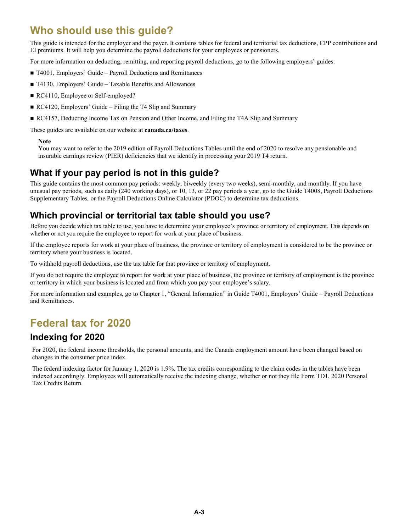# **Who should use this guide?**

This guide is intended for the employer and the payer. It contains tables for federal and territorial tax deductions, CPP contributions and EI premiums. It will help you determine the payroll deductions for your employees or pensioners.

For more information on deducting, remitting, and reporting payroll deductions, go to the following employers' guides:

- T4001, Employers' Guide Payroll Deductions and Remittances
- T4130, Employers' Guide Taxable Benefits and Allowances
- RC4110, Employee or Self-employed?
- RC4120, Employers' Guide Filing the T4 Slip and Summary
- RC4157, Deducting Income Tax on Pension and Other Income, and Filing the T4A Slip and Summary

These guides are available on our website at **canada.ca/taxes**.

#### **Note**

You may want to refer to the 2019 edition of Payroll Deductions Tables until the end of 2020 to resolve any pensionable and insurable earnings review (PIER) deficiencies that we identify in processing your 2019 T4 return.

### **What if your pay period is not in this guide?**

This guide contains the most common pay periods: weekly, biweekly (every two weeks), semi-monthly, and monthly. If you have unusual pay periods, such as daily (240 working days), or 10, 13, or 22 pay periods a year, go to the Guide T4008, Payroll Deductions Supplementary Tables*,* or the Payroll Deductions Online Calculator (PDOC) to determine tax deductions.

### **Which provincial or territorial tax table should you use?**

Before you decide which tax table to use, you have to determine your employee's province or territory of employment. This depends on whether or not you require the employee to report for work at your place of business.

If the employee reports for work at your place of business, the province or territory of employment is considered to be the province or territory where your business is located.

To withhold payroll deductions, use the tax table for that province or territory of employment.

If you do not require the employee to report for work at your place of business, the province or territory of employment is the province or territory in which your business is located and from which you pay your employee's salary.

For more information and examples, go to Chapter 1, "General Information" in Guide T4001, Employers' Guide – Payroll Deductions and Remittances.

# **Federal tax for 2020**

### **Indexing for 2020**

For 2020, the federal income thresholds, the personal amounts, and the Canada employment amount have been changed based on changes in the consumer price index.

The federal indexing factor for January 1, 2020 is 1.9%. The tax credits corresponding to the claim codes in the tables have been indexed accordingly. Employees will automatically receive the indexing change, whether or not they file Form TD1, 2020 Personal Tax Credits Return.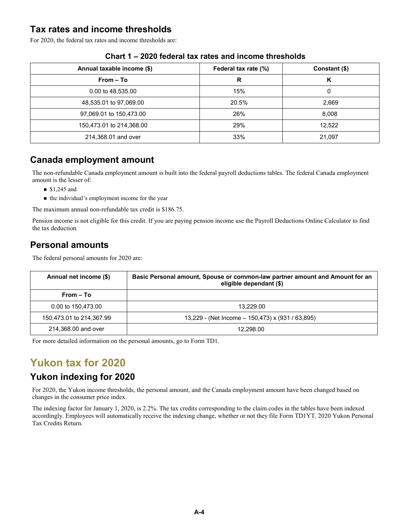### **Tax rates and income thresholds**

For 2020, the federal tax rates and income thresholds are:

| Annual taxable income (\$) | Federal tax rate (%) | Constant (\$) |
|----------------------------|----------------------|---------------|
| $From - To$                | R                    | К             |
| 0.00 to 48,535.00          | 15%                  | 0             |
| 48,535.01 to 97,069.00     | 20.5%                | 2,669         |
| 97,069.01 to 150,473.00    | 26%                  | 8,008         |
| 150,473.01 to 214,368.00   | 29%                  | 12,522        |
| 214,368.01 and over        | 33%                  | 21,097        |

#### **Chart 1 – 2020 federal tax rates and income thresholds**

### **Canada employment amount**

The non-refundable Canada employment amount is built into the federal payroll deductions tables. The federal Canada employment amount is the lesser of:

- $$1,245$  and
- the individual's employment income for the year

The maximum annual non-refundable tax credit is \$186.75.

Pension income is not eligible for this credit. If you are paying pension income use the Payroll Deductions Online Calculator to find the tax deduction*.*

### **Personal amounts**

The federal personal amounts for 2020 are:

| Annual net income (\$)   | Basic Personal amount, Spouse or common-law partner amount and Amount for an<br>eligible dependant (\$) |  |
|--------------------------|---------------------------------------------------------------------------------------------------------|--|
| $From - To$              |                                                                                                         |  |
| 0.00 to 150,473.00       | 13.229.00                                                                                               |  |
| 150,473.01 to 214,367.99 | 13,229 - (Net Income – 150,473) x (931 / 63,895)                                                        |  |
| 214,368,00 and over      | 12.298.00                                                                                               |  |

For more detailed information on the personal amounts, go to Form TD1.

# **Yukon tax for 2020**

### **Yukon indexing for 2020**

For 2020, the Yukon income thresholds, the personal amount, and the Canada employment amount have been changed based on changes in the consumer price index.

The indexing factor for January 1, 2020, is 2.2%. The tax credits corresponding to the claim codes in the tables have been indexed accordingly. Employees will automatically receive the indexing change, whether or not they file Form TD1YT*,* 2020 Yukon Personal Tax Credits Return.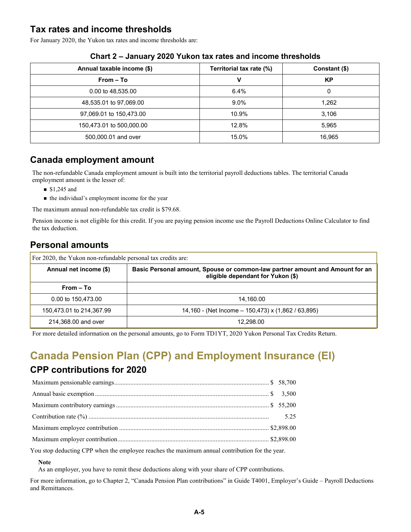### **Tax rates and income thresholds**

For January 2020, the Yukon tax rates and income thresholds are:

| Annual taxable income (\$) | Territorial tax rate (%) | Constant (\$) |
|----------------------------|--------------------------|---------------|
| $From - To$                | v                        | KP            |
| 0.00 to 48,535.00          | $6.4\%$                  | 0             |
| 48,535.01 to 97,069.00     | 9.0%                     | 1,262         |
| 97,069.01 to 150,473.00    | 10.9%                    | 3,106         |
| 150,473.01 to 500,000.00   | 12.8%                    | 5,965         |
| 500,000.01 and over        | 15.0%                    | 16,965        |

#### **Chart 2 – January 2020 Yukon tax rates and income thresholds**

### **Canada employment amount**

The non-refundable Canada employment amount is built into the territorial payroll deductions tables. The territorial Canada employment amount is the lesser of:

- $$1,245$  and
- the individual's employment income for the year

The maximum annual non-refundable tax credit is \$79.68.

Pension income is not eligible for this credit. If you are paying pension income use the Payroll Deductions Online Calculator to find the tax deduction.

### **Personal amounts**

| For 2020, the Yukon non-refundable personal tax credits are: |                                                                                                                   |  |  |
|--------------------------------------------------------------|-------------------------------------------------------------------------------------------------------------------|--|--|
| Annual net income (\$)                                       | Basic Personal amount, Spouse or common-law partner amount and Amount for an<br>eligible dependant for Yukon (\$) |  |  |
| $From - To$                                                  |                                                                                                                   |  |  |
| 0.00 to 150,473.00                                           | 14,160.00                                                                                                         |  |  |
| 150,473.01 to 214,367.99                                     | 14,160 - (Net Income - 150,473) x (1,862 / 63,895)                                                                |  |  |
| 214,368.00 and over                                          | 12.298.00                                                                                                         |  |  |

For more detailed information on the personal amounts, go to Form TD1YT, 2020 Yukon Personal Tax Credits Return.

# **Canada Pension Plan (CPP) and Employment Insurance (EI)**

### **CPP contributions for 2020**

You stop deducting CPP when the employee reaches the maximum annual contribution for the year.

#### **Note**

As an employer, you have to remit these deductions along with your share of CPP contributions.

For more information, go to Chapter 2, "Canada Pension Plan contributions" in Guide T4001, Employer's Guide – Payroll Deductions and Remittances.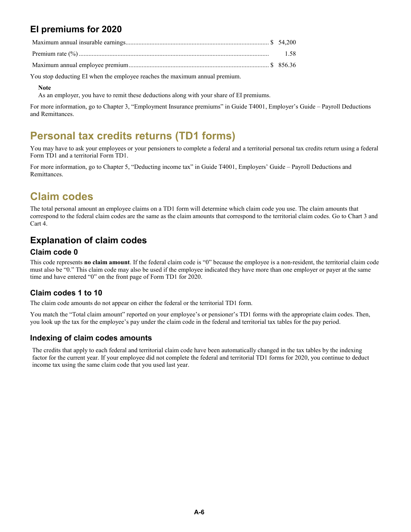## **EI premiums for 2020**

| 1.58 |
|------|

Maximum annual employee premium....................................................................................... \$ 856.36

You stop deducting EI when the employee reaches the maximum annual premium.

#### **Note**

As an employer, you have to remit these deductions along with your share of EI premiums.

For more information, go to Chapter 3, "Employment Insurance premiums" in Guide T4001, Employer's Guide – Payroll Deductions and Remittances.

# **Personal tax credits returns (TD1 forms)**

You may have to ask your employees or your pensioners to complete a federal and a territorial personal tax credits return using a federal Form TD1 and a territorial Form TD1.

For more information, go to Chapter 5, "Deducting income tax" in Guide T4001, Employers' Guide – Payroll Deductions and Remittances.

# **Claim codes**

The total personal amount an employee claims on a TD1 form will determine which claim code you use. The claim amounts that correspond to the federal claim codes are the same as the claim amounts that correspond to the territorial claim codes. Go to Chart 3 and Cart 4.

### **Explanation of claim codes**

#### **Claim code 0**

This code represents **no claim amount**. If the federal claim code is "0" because the employee is a non-resident, the territorial claim code must also be "0." This claim code may also be used if the employee indicated they have more than one employer or payer at the same time and have entered "0" on the front page of Form TD1 for 2020.

#### **Claim codes 1 to 10**

The claim code amounts do not appear on either the federal or the territorial TD1 form.

You match the "Total claim amount" reported on your employee's or pensioner's TD1 forms with the appropriate claim codes. Then, you look up the tax for the employee's pay under the claim code in the federal and territorial tax tables for the pay period.

#### **Indexing of claim codes amounts**

The credits that apply to each federal and territorial claim code have been automatically changed in the tax tables by the indexing factor for the current year. If your employee did not complete the federal and territorial TD1 forms for 2020, you continue to deduct income tax using the same claim code that you used last year.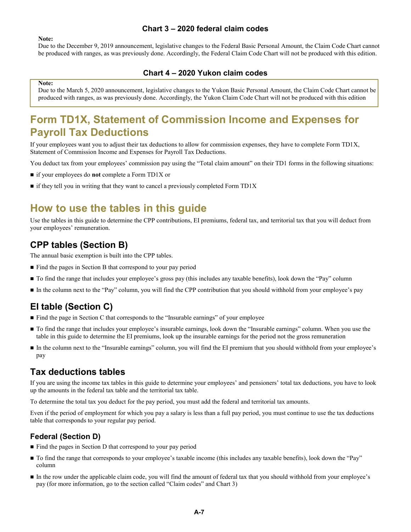#### **Chart 3 – 2020 federal claim codes**

#### **Note:**

Due to the December 9, 2019 announcement, legislative changes to the Federal Basic Personal Amount, the Claim Code Chart cannot be produced with ranges, as was previously done. Accordingly, the Federal Claim Code Chart will not be produced with this edition.

#### **Chart 4 – 2020 Yukon claim codes**

#### **Note:**

Due to the March 5, 2020 announcement, legislative changes to the Yukon Basic Personal Amount, the Claim Code Chart cannot be produced with ranges, as was previously done. Accordingly, the Yukon Claim Code Chart will not be produced with this edition

# **Form TD1X, Statement of Commission Income and Expenses for Payroll Tax Deductions**

If your employees want you to adjust their tax deductions to allow for commission expenses, they have to complete Form TD1X, Statement of Commission Income and Expenses for Payroll Tax Deductions.

You deduct tax from your employees' commission pay using the "Total claim amount" on their TD1 forms in the following situations:

- if your employees do **not** complete a Form TD1X or
- $\blacksquare$  if they tell you in writing that they want to cancel a previously completed Form TD1X

### **How to use the tables in this guide**

Use the tables in this guide to determine the CPP contributions, EI premiums, federal tax, and territorial tax that you will deduct from your employees' remuneration.

### **CPP tables (Section B)**

The annual basic exemption is built into the CPP tables.

- Find the pages in Section B that correspond to your pay period
- $\blacksquare$  To find the range that includes your employee's gross pay (this includes any taxable benefits), look down the "Pay" column
- In the column next to the "Pay" column, you will find the CPP contribution that you should withhold from your employee's pay

### **EI table (Section C)**

- Find the page in Section C that corresponds to the "Insurable earnings" of your employee
- To find the range that includes your employee's insurable earnings, look down the "Insurable earnings" column. When you use the table in this guide to determine the EI premiums, look up the insurable earnings for the period not the gross remuneration
- In the column next to the "Insurable earnings" column, you will find the EI premium that you should withhold from your employee's pay

#### **Tax deductions tables**

If you are using the income tax tables in this guide to determine your employees' and pensioners' total tax deductions, you have to look up the amounts in the federal tax table and the territorial tax table.

To determine the total tax you deduct for the pay period, you must add the federal and territorial tax amounts.

Even if the period of employment for which you pay a salary is less than a full pay period, you must continue to use the tax deductions table that corresponds to your regular pay period.

#### **Federal (Section D)**

- Find the pages in Section D that correspond to your pay period
- To find the range that corresponds to your employee's taxable income (this includes any taxable benefits), look down the "Pay" column
- In the row under the applicable claim code, you will find the amount of federal tax that you should withhold from your employee's pay (for more information, go to the section called "Claim codes" and Chart 3)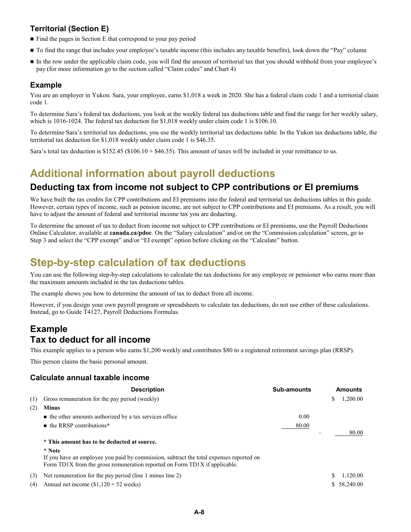### **Territorial (Section E)**

- $\blacksquare$  Find the pages in Section E that correspond to your pay period
- To find the range that includes your employee's taxable income (this includes any taxable benefits), look down the "Pay" column
- In the row under the applicable claim code, you will find the amount of territorial tax that you should withhold from your employee's pay (for more information go to the section called "Claim codes" and Chart 4)

#### **Example**

You are an employer in Yukon. Sara, your employee, earns \$1,018 a week in 2020. She has a federal claim code 1 and a territorial claim code 1.

To determine Sara's federal tax deductions, you look at the weekly federal tax deductions table and find the range for her weekly salary, which is 1016-1024. The federal tax deduction for \$1,018 weekly under claim code 1 is \$106.10.

To determine Sara's territorial tax deductions, you use the weekly territorial tax deductions table. In the Yukon tax deductions table, the territorial tax deduction for \$1,018 weekly under claim code 1 is \$46.35.

Sara's total tax deduction is  $$152.45$  ( $$106.10 + $46.35$ ). This amount of taxes will be included in your remittance to us.

### **Additional information about payroll deductions**

### **Deducting tax from income not subject to CPP contributions or EI premiums**

We have built the tax credits for CPP contributions and EI premiums into the federal and territorial tax deductions tables in this guide. However, certain types of income, such as pension income, are not subject to CPP contributions and EI premiums. As a result, you will have to adjust the amount of federal and territorial income tax you are deducting.

To determine the amount of tax to deduct from income not subject to CPP contributions or EI premiums, use the Payroll Deductions Online Calculator, available at **canada.ca/pdoc**. On the "Salary calculation" and/or on the "Commission calculation" screen, go to Step 3 and select the "CPP exempt" and/or "EI exempt" option before clicking on the "Calculate" button.

# **Step-by-step calculation of tax deductions**

You can use the following step-by-step calculations to calculate the tax deductions for any employee or pensioner who earns more than the maximum amounts included in the tax deductions tables.

The example shows you how to determine the amount of tax to deduct from all income.

However, if you design your own payroll program or spreadsheets to calculate tax deductions, do not use either of these calculations. Instead, go to Guide T4127, Payroll Deductions Formulas.

### **Example Tax to deduct for all income**

This example applies to a person who earns \$1,200 weekly and contributes \$80 to a registered retirement savings plan (RRSP).

This person claims the basic personal amount.

#### **Calculate annual taxable income**

|     | <b>Description</b>                                                                                                                                                              | <b>Sub-amounts</b> |    | Amounts     |
|-----|---------------------------------------------------------------------------------------------------------------------------------------------------------------------------------|--------------------|----|-------------|
| (1) | Gross remuneration for the pay period (weekly)                                                                                                                                  |                    | \$ | 1,200.00    |
| (2) | <b>Minus</b>                                                                                                                                                                    |                    |    |             |
|     | $\blacksquare$ the other amounts authorized by a tax services office                                                                                                            | 0.00               |    |             |
|     | $\blacksquare$ the RRSP contributions*                                                                                                                                          | 80.00              |    |             |
|     |                                                                                                                                                                                 |                    |    | 80.00       |
|     | * This amount has to be deducted at source.                                                                                                                                     |                    |    |             |
|     | * Note<br>If you have an employee you paid by commission, subtract the total expenses reported on<br>Form TD1X from the gross remuneration reported on Form TD1X if applicable. |                    |    |             |
| (3) | Net remuneration for the pay period (line 1 minus line 2)                                                                                                                       |                    | S  | 1.120.00    |
| (4) | Annual net income $(\$1,120 \times 52$ weeks)                                                                                                                                   |                    |    | \$58,240.00 |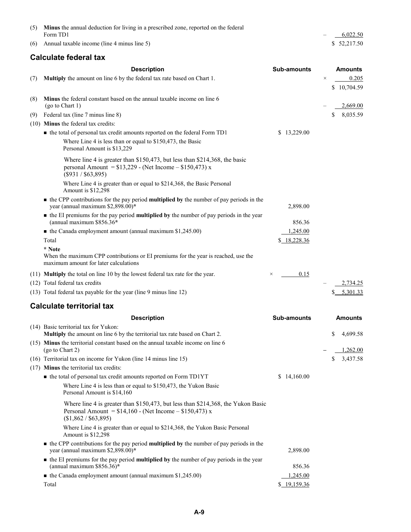| (5) Minus the annual deduction for living in a prescribed zone, reported on the federal |                                   |              |
|-----------------------------------------------------------------------------------------|-----------------------------------|--------------|
| Form TD1                                                                                | <b>Contract Contract Contract</b> | 6,022.50     |
| $(6)$ Annual taxable income (line 4 minus line 5)                                       |                                   | \$ 52,217.50 |

#### **Calculate federal tax**

|     | <b>Description</b>                                                                                                                                                     | <b>Sub-amounts</b> |          | <b>Amounts</b> |
|-----|------------------------------------------------------------------------------------------------------------------------------------------------------------------------|--------------------|----------|----------------|
| (7) | Multiply the amount on line 6 by the federal tax rate based on Chart 1.                                                                                                |                    | $\times$ | 0.205          |
|     |                                                                                                                                                                        |                    |          | \$10,704.59    |
| (8) | Minus the federal constant based on the annual taxable income on line 6<br>(go to Chart 1)                                                                             |                    |          | 2,669.00       |
| (9) | Federal tax (line 7 minus line 8)                                                                                                                                      |                    | \$       | 8,035.59       |
|     | (10) Minus the federal tax credits:                                                                                                                                    |                    |          |                |
|     | • the total of personal tax credit amounts reported on the federal Form TD1                                                                                            | \$13,229.00        |          |                |
|     | Where Line 4 is less than or equal to \$150,473, the Basic<br>Personal Amount is \$13,229                                                                              |                    |          |                |
|     | Where line 4 is greater than \$150,473, but less than \$214,368, the basic<br>personal Amount = $$13,229$ - (Net Income - $$150,473$ ) x<br>$(\$931 / \$63,895)$       |                    |          |                |
|     | Where Line 4 is greater than or equal to \$214,368, the Basic Personal<br>Amount is \$12,298                                                                           |                    |          |                |
|     | $\blacksquare$ the CPP contributions for the pay period <b>multiplied by</b> the number of pay periods in the<br>year (annual maximum \$2,898.00)*                     | 2,898.00           |          |                |
|     | • the EI premiums for the pay period <b>multiplied by</b> the number of pay periods in the year<br>(annual maximum \$856.36*                                           | 856.36             |          |                |
|     | $\blacksquare$ the Canada employment amount (annual maximum \$1,245.00)                                                                                                | 1,245.00           |          |                |
|     | Total                                                                                                                                                                  | \$18,228.36        |          |                |
|     | * Note<br>When the maximum CPP contributions or EI premiums for the year is reached, use the<br>maximum amount for later calculations                                  |                    |          |                |
|     | (11) <b>Multiply</b> the total on line 10 by the lowest federal tax rate for the year.                                                                                 | 0.15<br>$\times$   |          |                |
|     | (12) Total federal tax credits                                                                                                                                         |                    |          | 2,734.25       |
|     | (13) Total federal tax payable for the year (line 9 minus line 12)                                                                                                     |                    |          | 5,301.33       |
|     | <b>Calculate territorial tax</b>                                                                                                                                       |                    |          |                |
|     | <b>Description</b>                                                                                                                                                     | <b>Sub-amounts</b> |          | <b>Amounts</b> |
|     | (14) Basic territorial tax for Yukon:                                                                                                                                  |                    |          |                |
|     | Multiply the amount on line 6 by the territorial tax rate based on Chart 2.                                                                                            |                    | \$       | 4,699.58       |
|     | (15) Minus the territorial constant based on the annual taxable income on line 6<br>(go to Chart 2)                                                                    |                    |          | 1,262.00       |
|     | (16) Territorial tax on income for Yukon (line 14 minus line 15)                                                                                                       |                    | \$       | 3,437.58       |
|     | (17) Minus the territorial tax credits:                                                                                                                                |                    |          |                |
|     | • the total of personal tax credit amounts reported on Form TD1YT                                                                                                      | \$14,160.00        |          |                |
|     | Where Line 4 is less than or equal to \$150,473, the Yukon Basic<br>Personal Amount is \$14,160                                                                        |                    |          |                |
|     | Where line 4 is greater than \$150,473, but less than \$214,368, the Yukon Basic<br>Personal Amount = $$14,160$ - (Net Income - $$150,473$ ) x<br>(\$1,862 / \$63,895) |                    |          |                |
|     | Where Line 4 is greater than or equal to \$214,368, the Yukon Basic Personal<br>Amount is \$12,298                                                                     |                    |          |                |
|     | • the CPP contributions for the pay period multiplied by the number of pay periods in the<br>year (annual maximum \$2,898.00)*                                         | 2,898.00           |          |                |
|     | • the EI premiums for the pay period multiplied by the number of pay periods in the year<br>(annual maximum \$856.36)*                                                 | 856.36             |          |                |
|     | $\blacksquare$ the Canada employment amount (annual maximum \$1,245.00)                                                                                                | 1,245.00           |          |                |
|     | Total                                                                                                                                                                  | \$ 19,159.36       |          |                |